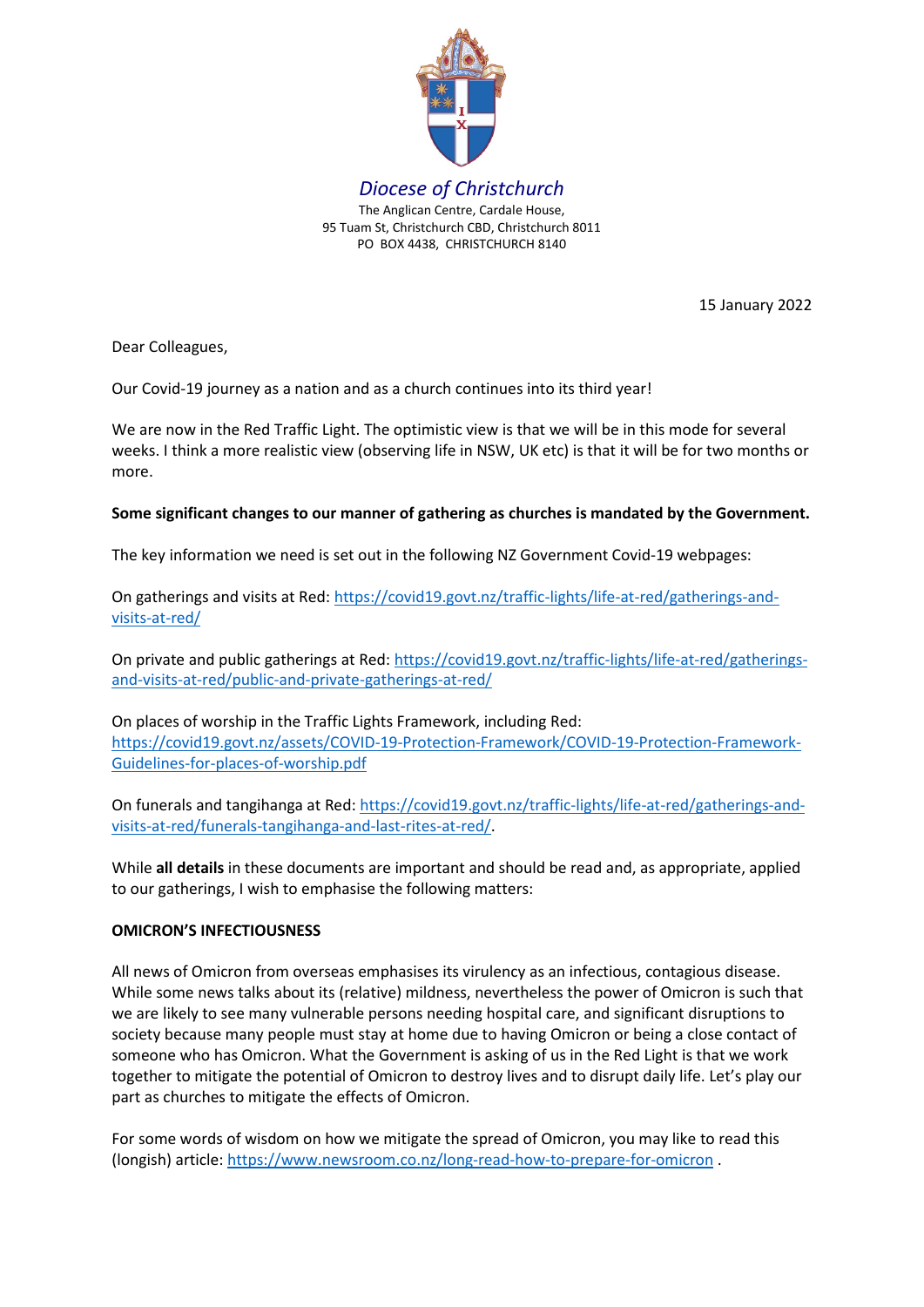

15 January 2022

Dear Colleagues,

Our Covid-19 journey as a nation and as a church continues into its third year!

We are now in the Red Traffic Light. The optimistic view is that we will be in this mode for several weeks. I think a more realistic view (observing life in NSW, UK etc) is that it will be for two months or more.

# **Some significant changes to our manner of gathering as churches is mandated by the Government.**

The key information we need is set out in the following NZ Government Covid-19 webpages:

On gatherings and visits at Red: [https://covid19.govt.nz/traffic-lights/life-at-red/gatherings-and](https://covid19.govt.nz/traffic-lights/life-at-red/gatherings-and-visits-at-red/)[visits-at-red/](https://covid19.govt.nz/traffic-lights/life-at-red/gatherings-and-visits-at-red/)

On private and public gatherings at Red: [https://covid19.govt.nz/traffic-lights/life-at-red/gatherings](https://covid19.govt.nz/traffic-lights/life-at-red/gatherings-and-visits-at-red/public-and-private-gatherings-at-red/)[and-visits-at-red/public-and-private-gatherings-at-red/](https://covid19.govt.nz/traffic-lights/life-at-red/gatherings-and-visits-at-red/public-and-private-gatherings-at-red/)

On places of worship in the Traffic Lights Framework, including Red: [https://covid19.govt.nz/assets/COVID-19-Protection-Framework/COVID-19-Protection-Framework-](https://covid19.govt.nz/assets/COVID-19-Protection-Framework/COVID-19-Protection-Framework-Guidelines-for-places-of-worship.pdf)[Guidelines-for-places-of-worship.pdf](https://covid19.govt.nz/assets/COVID-19-Protection-Framework/COVID-19-Protection-Framework-Guidelines-for-places-of-worship.pdf)

On funerals and tangihanga at Red: [https://covid19.govt.nz/traffic-lights/life-at-red/gatherings-and](https://covid19.govt.nz/traffic-lights/life-at-red/gatherings-and-visits-at-red/funerals-tangihanga-and-last-rites-at-red/)[visits-at-red/funerals-tangihanga-and-last-rites-at-red/.](https://covid19.govt.nz/traffic-lights/life-at-red/gatherings-and-visits-at-red/funerals-tangihanga-and-last-rites-at-red/)

While **all details** in these documents are important and should be read and, as appropriate, applied to our gatherings, I wish to emphasise the following matters:

## **OMICRON'S INFECTIOUSNESS**

All news of Omicron from overseas emphasises its virulency as an infectious, contagious disease. While some news talks about its (relative) mildness, nevertheless the power of Omicron is such that we are likely to see many vulnerable persons needing hospital care, and significant disruptions to society because many people must stay at home due to having Omicron or being a close contact of someone who has Omicron. What the Government is asking of us in the Red Light is that we work together to mitigate the potential of Omicron to destroy lives and to disrupt daily life. Let's play our part as churches to mitigate the effects of Omicron.

For some words of wisdom on how we mitigate the spread of Omicron, you may like to read this (longish) article[: https://www.newsroom.co.nz/long-read-how-to-prepare-for-omicron](https://www.newsroom.co.nz/long-read-how-to-prepare-for-omicron) .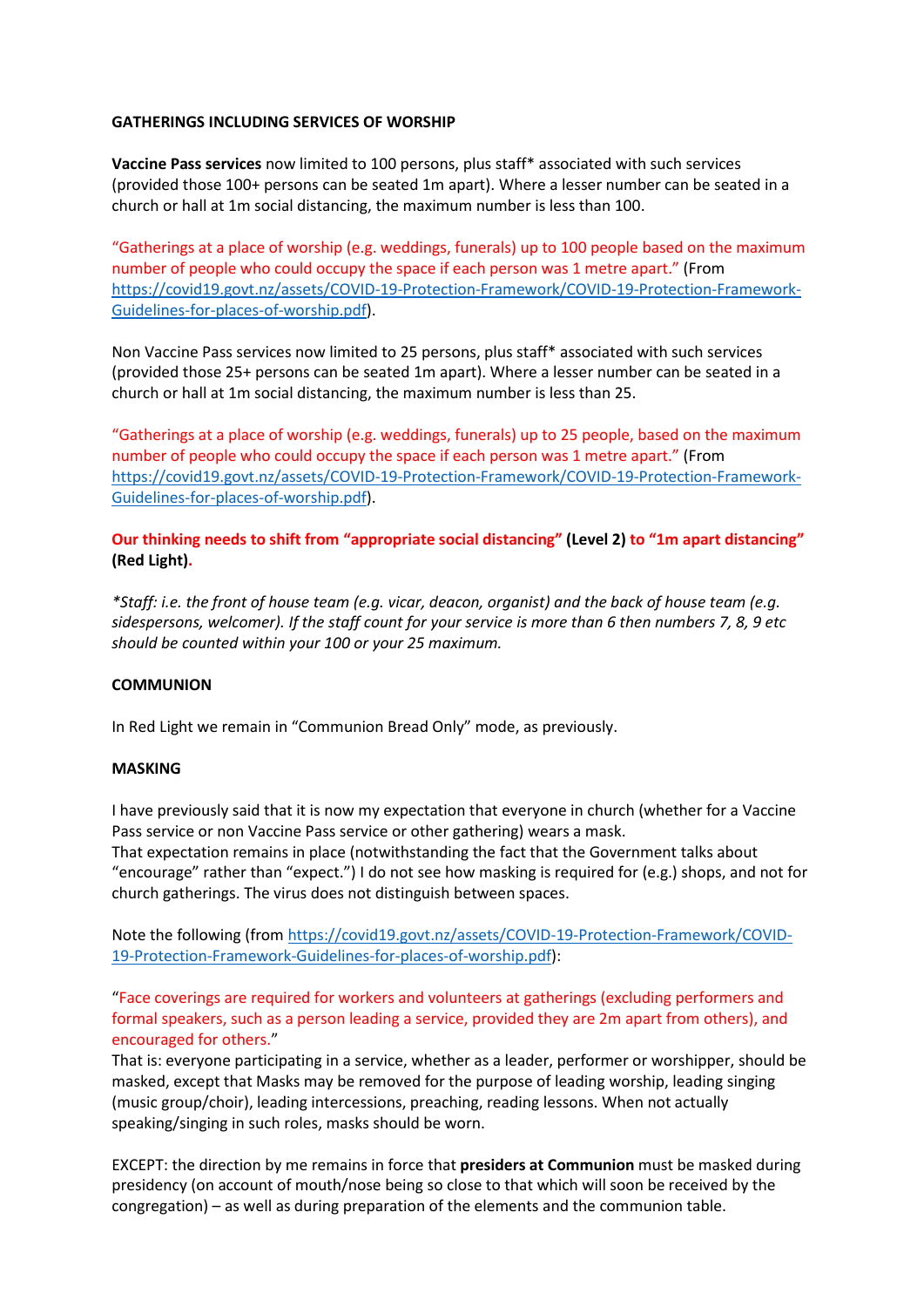## **GATHERINGS INCLUDING SERVICES OF WORSHIP**

**Vaccine Pass services** now limited to 100 persons, plus staff\* associated with such services (provided those 100+ persons can be seated 1m apart). Where a lesser number can be seated in a church or hall at 1m social distancing, the maximum number is less than 100.

"Gatherings at a place of worship (e.g. weddings, funerals) up to 100 people based on the maximum number of people who could occupy the space if each person was 1 metre apart." (From [https://covid19.govt.nz/assets/COVID-19-Protection-Framework/COVID-19-Protection-Framework-](https://covid19.govt.nz/assets/COVID-19-Protection-Framework/COVID-19-Protection-Framework-Guidelines-for-places-of-worship.pdf)[Guidelines-for-places-of-worship.pdf\)](https://covid19.govt.nz/assets/COVID-19-Protection-Framework/COVID-19-Protection-Framework-Guidelines-for-places-of-worship.pdf).

Non Vaccine Pass services now limited to 25 persons, plus staff\* associated with such services (provided those 25+ persons can be seated 1m apart). Where a lesser number can be seated in a church or hall at 1m social distancing, the maximum number is less than 25.

"Gatherings at a place of worship (e.g. weddings, funerals) up to 25 people, based on the maximum number of people who could occupy the space if each person was 1 metre apart." (From [https://covid19.govt.nz/assets/COVID-19-Protection-Framework/COVID-19-Protection-Framework-](https://covid19.govt.nz/assets/COVID-19-Protection-Framework/COVID-19-Protection-Framework-Guidelines-for-places-of-worship.pdf)[Guidelines-for-places-of-worship.pdf\)](https://covid19.govt.nz/assets/COVID-19-Protection-Framework/COVID-19-Protection-Framework-Guidelines-for-places-of-worship.pdf).

**Our thinking needs to shift from "appropriate social distancing" (Level 2) to "1m apart distancing" (Red Light).**

*\*Staff: i.e. the front of house team (e.g. vicar, deacon, organist) and the back of house team (e.g. sidespersons, welcomer). If the staff count for your service is more than 6 then numbers 7, 8, 9 etc should be counted within your 100 or your 25 maximum.*

## **COMMUNION**

In Red Light we remain in "Communion Bread Only" mode, as previously.

#### **MASKING**

I have previously said that it is now my expectation that everyone in church (whether for a Vaccine Pass service or non Vaccine Pass service or other gathering) wears a mask. That expectation remains in place (notwithstanding the fact that the Government talks about "encourage" rather than "expect.") I do not see how masking is required for (e.g.) shops, and not for

church gatherings. The virus does not distinguish between spaces.

Note the following (from [https://covid19.govt.nz/assets/COVID-19-Protection-Framework/COVID-](https://covid19.govt.nz/assets/COVID-19-Protection-Framework/COVID-19-Protection-Framework-Guidelines-for-places-of-worship.pdf)[19-Protection-Framework-Guidelines-for-places-of-worship.pdf\)](https://covid19.govt.nz/assets/COVID-19-Protection-Framework/COVID-19-Protection-Framework-Guidelines-for-places-of-worship.pdf):

"Face coverings are required for workers and volunteers at gatherings (excluding performers and formal speakers, such as a person leading a service, provided they are 2m apart from others), and encouraged for others."

That is: everyone participating in a service, whether as a leader, performer or worshipper, should be masked, except that Masks may be removed for the purpose of leading worship, leading singing (music group/choir), leading intercessions, preaching, reading lessons. When not actually speaking/singing in such roles, masks should be worn.

EXCEPT: the direction by me remains in force that **presiders at Communion** must be masked during presidency (on account of mouth/nose being so close to that which will soon be received by the congregation) – as well as during preparation of the elements and the communion table.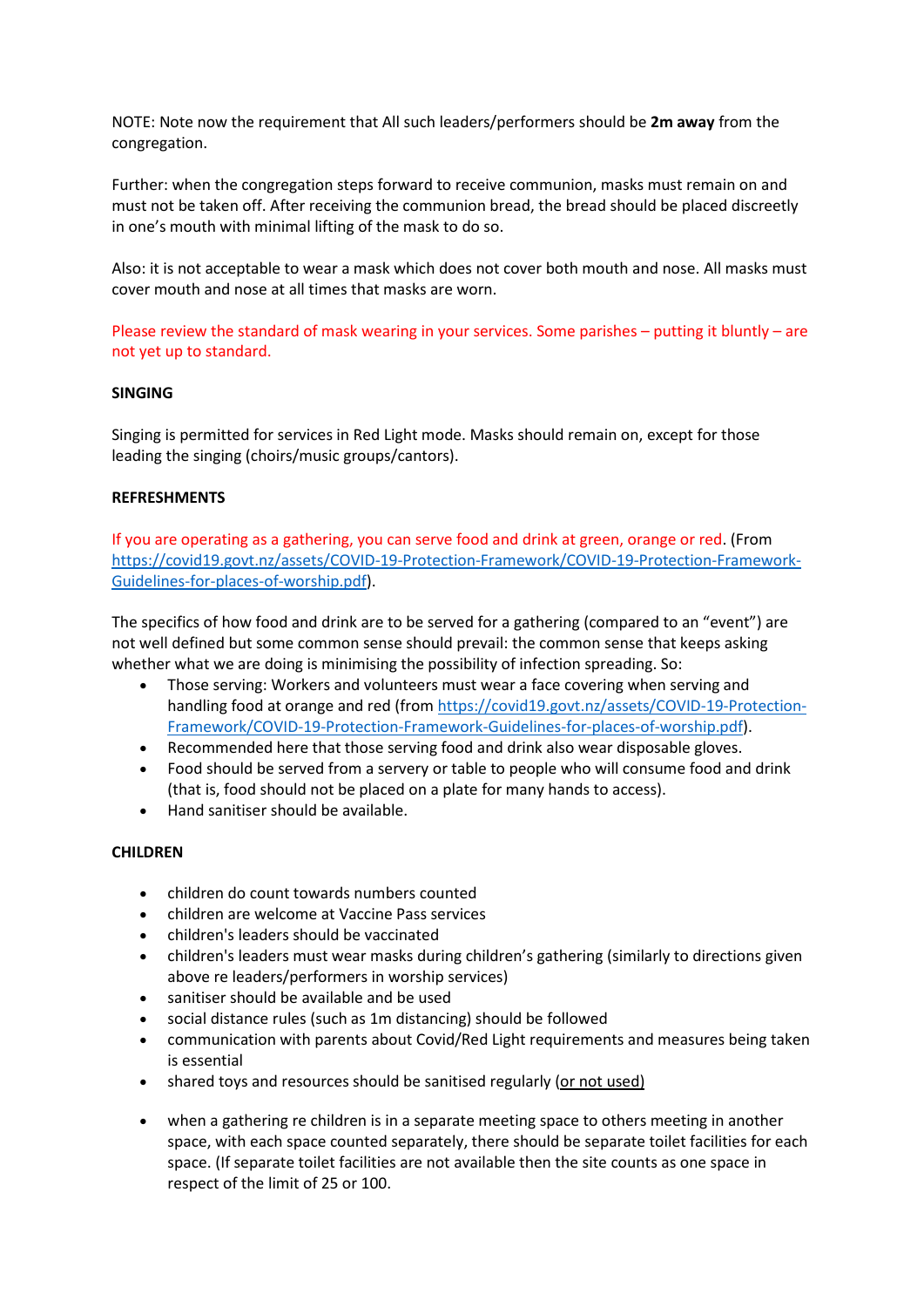NOTE: Note now the requirement that All such leaders/performers should be **2m away** from the congregation.

Further: when the congregation steps forward to receive communion, masks must remain on and must not be taken off. After receiving the communion bread, the bread should be placed discreetly in one's mouth with minimal lifting of the mask to do so.

Also: it is not acceptable to wear a mask which does not cover both mouth and nose. All masks must cover mouth and nose at all times that masks are worn.

Please review the standard of mask wearing in your services. Some parishes – putting it bluntly – are not yet up to standard.

### **SINGING**

Singing is permitted for services in Red Light mode. Masks should remain on, except for those leading the singing (choirs/music groups/cantors).

### **REFRESHMENTS**

If you are operating as a gathering, you can serve food and drink at green, orange or red. (From [https://covid19.govt.nz/assets/COVID-19-Protection-Framework/COVID-19-Protection-Framework-](https://covid19.govt.nz/assets/COVID-19-Protection-Framework/COVID-19-Protection-Framework-Guidelines-for-places-of-worship.pdf)[Guidelines-for-places-of-worship.pdf\)](https://covid19.govt.nz/assets/COVID-19-Protection-Framework/COVID-19-Protection-Framework-Guidelines-for-places-of-worship.pdf).

The specifics of how food and drink are to be served for a gathering (compared to an "event") are not well defined but some common sense should prevail: the common sense that keeps asking whether what we are doing is minimising the possibility of infection spreading. So:

- Those serving: Workers and volunteers must wear a face covering when serving and handling food at orange and red (from [https://covid19.govt.nz/assets/COVID-19-Protection-](https://covid19.govt.nz/assets/COVID-19-Protection-Framework/COVID-19-Protection-Framework-Guidelines-for-places-of-worship.pdf)[Framework/COVID-19-Protection-Framework-Guidelines-for-places-of-worship.pdf\)](https://covid19.govt.nz/assets/COVID-19-Protection-Framework/COVID-19-Protection-Framework-Guidelines-for-places-of-worship.pdf).
- Recommended here that those serving food and drink also wear disposable gloves.
- Food should be served from a servery or table to people who will consume food and drink (that is, food should not be placed on a plate for many hands to access).
- Hand sanitiser should be available.

#### **CHILDREN**

- children do count towards numbers counted
- children are welcome at Vaccine Pass services
- children's leaders should be vaccinated
- children's leaders must wear masks during children's gathering (similarly to directions given above re leaders/performers in worship services)
- sanitiser should be available and be used
- social distance rules (such as 1m distancing) should be followed
- communication with parents about Covid/Red Light requirements and measures being taken is essential
- shared toys and resources should be sanitised regularly (or not used)
- when a gathering re children is in a separate meeting space to others meeting in another space, with each space counted separately, there should be separate toilet facilities for each space. (If separate toilet facilities are not available then the site counts as one space in respect of the limit of 25 or 100.